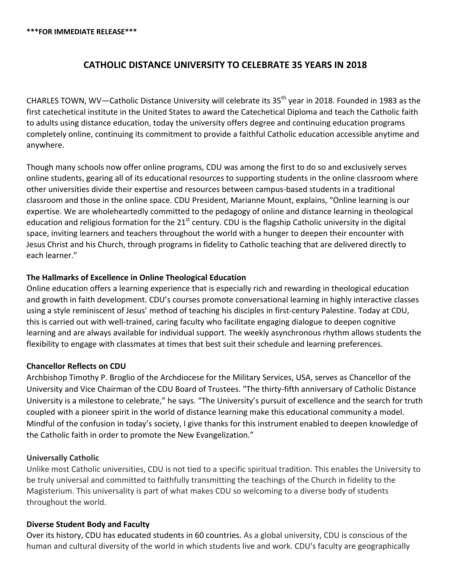# **CATHOLIC DISTANCE UNIVERSITY TO CELEBRATE 35 YEARS IN 2018**

CHARLES TOWN, WV—Catholic Distance University will celebrate its 35<sup>th</sup> year in 2018. Founded in 1983 as the first catechetical institute in the United States to award the Catechetical Diploma and teach the Catholic faith to adults using distance education, today the university offers degree and continuing education programs completely online, continuing its commitment to provide a faithful Catholic education accessible anytime and anywhere.

Though many schools now offer online programs, CDU was among the first to do so and exclusively serves online students, gearing all of its educational resources to supporting students in the online classroom where other universities divide their expertise and resources between campus-based students in a traditional classroom and those in the online space. CDU President, Marianne Mount, explains, "Online learning is our expertise. We are wholeheartedly committed to the pedagogy of online and distance learning in theological education and religious formation for the  $21<sup>st</sup>$  century. CDU is the flagship Catholic university in the digital space, inviting learners and teachers throughout the world with a hunger to deepen their encounter with Jesus Christ and his Church, through programs in fidelity to Catholic teaching that are delivered directly to each learner."

#### **The Hallmarks of Excellence in Online Theological Education**

Online education offers a learning experience that is especially rich and rewarding in theological education and growth in faith development. CDU's courses promote conversational learning in highly interactive classes using a style reminiscent of Jesus' method of teaching his disciples in first-century Palestine. Today at CDU, this is carried out with well-trained, caring faculty who facilitate engaging dialogue to deepen cognitive learning and are always available for individual support. The weekly asynchronous rhythm allows students the flexibility to engage with classmates at times that best suit their schedule and learning preferences.

#### **Chancellor Reflects on CDU**

Archbishop Timothy P. Broglio of the Archdiocese for the Military Services, USA, serves as Chancellor of the University and Vice Chairman of the CDU Board of Trustees. "The thirty-fifth anniversary of Catholic Distance University is a milestone to celebrate," he says. "The University's pursuit of excellence and the search for truth coupled with a pioneer spirit in the world of distance learning make this educational community a model. Mindful of the confusion in today's society, I give thanks for this instrument enabled to deepen knowledge of the Catholic faith in order to promote the New Evangelization."

#### **Universally Catholic**

Unlike most Catholic universities, CDU is not tied to a specific spiritual tradition. This enables the University to be truly universal and committed to faithfully transmitting the teachings of the Church in fidelity to the Magisterium. This universality is part of what makes CDU so welcoming to a diverse body of students throughout the world.

#### **Diverse Student Body and Faculty**

Over its history, CDU has educated students in 60 countries. As a global university, CDU is conscious of the human and cultural diversity of the world in which students live and work. CDU's faculty are geographically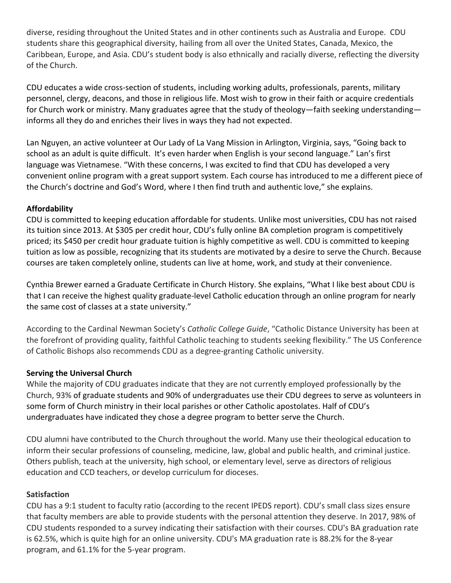diverse, residing throughout the United States and in other continents such as Australia and Europe. CDU students share this geographical diversity, hailing from all over the United States, Canada, Mexico, the Caribbean, Europe, and Asia. CDU's student body is also ethnically and racially diverse, reflecting the diversity of the Church.

CDU educates a wide cross-section of students, including working adults, professionals, parents, military personnel, clergy, deacons, and those in religious life. Most wish to grow in their faith or acquire credentials for Church work or ministry. Many graduates agree that the study of theology—faith seeking understanding informs all they do and enriches their lives in ways they had not expected.

Lan Nguyen, an active volunteer at Our Lady of La Vang Mission in Arlington, Virginia, says, "Going back to school as an adult is quite difficult. It's even harder when English is your second language." Lan's first language was Vietnamese. "With these concerns, I was excited to find that CDU has developed a very convenient online program with a great support system. Each course has introduced to me a different piece of the Church's doctrine and God's Word, where I then find truth and authentic love," she explains.

### **Affordability**

CDU is committed to keeping education affordable for students. Unlike most universities, CDU has not raised its tuition since 2013. At \$305 per credit hour, CDU's fully online BA completion program is competitively priced; its \$450 per credit hour graduate tuition is highly competitive as well. CDU is committed to keeping tuition as low as possible, recognizing that its students are motivated by a desire to serve the Church. Because courses are taken completely online, students can live at home, work, and study at their convenience.

Cynthia Brewer earned a Graduate Certificate in Church History. She explains, "What I like best about CDU is that I can receive the highest quality graduate-level Catholic education through an online program for nearly the same cost of classes at a state university."

According to the Cardinal Newman Society's *Catholic College Guide*, "Catholic Distance University has been at the forefront of providing quality, faithful Catholic teaching to students seeking flexibility." The US Conference of Catholic Bishops also recommends CDU as a degree-granting Catholic university.

## **Serving the Universal Church**

While the majority of CDU graduates indicate that they are not currently employed professionally by the Church, 93% of graduate students and 90% of undergraduates use their CDU degrees to serve as volunteers in some form of Church ministry in their local parishes or other Catholic apostolates. Half of CDU's undergraduates have indicated they chose a degree program to better serve the Church.

CDU alumni have contributed to the Church throughout the world. Many use their theological education to inform their secular professions of counseling, medicine, law, global and public health, and criminal justice. Others publish, teach at the university, high school, or elementary level, serve as directors of religious education and CCD teachers, or develop curriculum for dioceses.

### **Satisfaction**

CDU has a 9:1 student to faculty ratio (according to the recent IPEDS report). CDU's small class sizes ensure that faculty members are able to provide students with the personal attention they deserve. In 2017, 98% of CDU students responded to a survey indicating their satisfaction with their courses. CDU's BA graduation rate is 62.5%, which is quite high for an online university. CDU's MA graduation rate is 88.2% for the 8-year program, and 61.1% for the 5-year program.